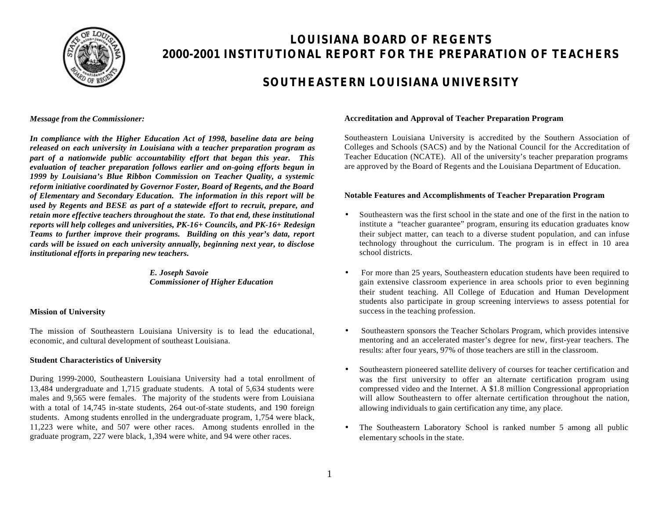

# **LOUISIANA BOARD OF REGENTS 2000-2001 INSTITUTIONAL REPORT FOR THE PREPARATION OF TEACHERS**

# **SOUTHEASTERN LOUISIANA UNIVERSITY**

*Message from the Commissioner:*

*In compliance with the Higher Education Act of 1998, baseline data are being released on each university in Louisiana with a teacher preparation program as part of a nationwide public accountability effort that began this year. This evaluation of teacher preparation follows earlier and on-going efforts begun in 1999 by Louisiana's Blue Ribbon Commission on Teacher Quality, a systemic reform initiative coordinated by Governor Foster, Board of Regents, and the Board of Elementary and Secondary Education. The information in this report will be used by Regents and BESE as part of a statewide effort to recruit, prepare, and retain more effective teachers throughout the state. To that end, these institutional reports will help colleges and universities, PK-16+ Councils, and PK-16+ Redesign Teams to further improve their programs. Building on this year's data, report cards will be issued on each university annually, beginning next year, to disclose institutional efforts in preparing new teachers.*

> *E. Joseph Savoie Commissioner of Higher Education*

## **Mission of University**

The mission of Southeastern Louisiana University is to lead the educational, economic, and cultural development of southeast Louisiana.

## **Student Characteristics of University**

During 1999-2000, Southeastern Louisiana University had a total enrollment of 13,484 undergraduate and 1,715 graduate students. A total of 5,634 students were males and 9,565 were females. The majority of the students were from Louisiana with a total of 14,745 in-state students, 264 out-of-state students, and 190 foreign students. Among students enrolled in the undergraduate program, 1,754 were black, 11,223 were white, and 507 were other races. Among students enrolled in the graduate program, 227 were black, 1,394 were white, and 94 were other races.

#### **Accreditation and Approval of Teacher Preparation Program**

Southeastern Louisiana University is accredited by the Southern Association of Colleges and Schools (SACS) and by the National Council for the Accreditation of Teacher Education (NCATE). All of the university's teacher preparation programs are approved by the Board of Regents and the Louisiana Department of Education.

### **Notable Features and Accomplishments of Teacher Preparation Program**

- Southeastern was the first school in the state and one of the first in the nation to institute a "teacher guarantee" program, ensuring its education graduates know their subject matter, can teach to a diverse student population, and can infuse technology throughout the curriculum. The program is in effect in 10 area school districts.
- For more than 25 years, Southeastern education students have been required to gain extensive classroom experience in area schools prior to even beginning their student teaching. All College of Education and Human Development students also participate in group screening interviews to assess potential for success in the teaching profession.
- Southeastern sponsors the Teacher Scholars Program, which provides intensive mentoring and an accelerated master's degree for new, first-year teachers. The results: after four years, 97% of those teachers are still in the classroom.
- Southeastern pioneered satellite delivery of courses for teacher certification and was the first university to offer an alternate certification program using compressed video and the Internet. A \$1.8 million Congressional appropriation will allow Southeastern to offer alternate certification throughout the nation, allowing individuals to gain certification any time, any place.
- The Southeastern Laboratory School is ranked number 5 among all public elementary schools in the state.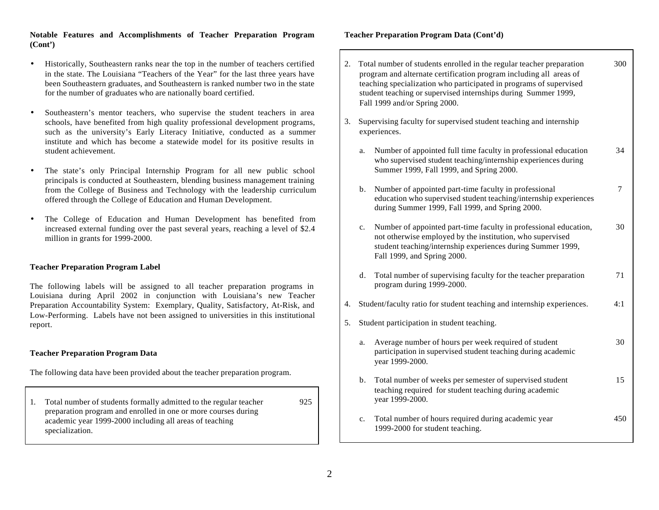### **Notable Features and Accomplishments of Teacher Preparation Program (Cont')**

- Historically, Southeastern ranks near the top in the number of teachers certified in the state. The Louisiana "Teachers of the Year" for the last three years have been Southeastern graduates, and Southeastern is ranked number two in the state for the number of graduates who are nationally board certified.
- Southeastern's mentor teachers, who supervise the student teachers in area schools, have benefited from high quality professional development programs, such as the university's Early Literacy Initiative, conducted as a summer institute and which has become a statewide model for its positive results in student achievement.
- The state's only Principal Internship Program for all new public school principals is conducted at Southeastern, blending business management training from the College of Business and Technology with the leadership curriculum offered through the College of Education and Human Development.
- The College of Education and Human Development has benefited from increased external funding over the past several years, reaching a level of \$2.4 million in grants for 1999-2000.

#### **Teacher Preparation Program Label**

The following labels will be assigned to all teacher preparation programs in Louisiana during April 2002 in conjunction with Louisiana's new Teacher Preparation Accountability System: Exemplary, Quality, Satisfactory, At-Risk, and Low-Performing. Labels have not been assigned to universities in this institutional report.

#### **Teacher Preparation Program Data**

The following data have been provided about the teacher preparation program.

1. Total number of students formally admitted to the regular teacher 925 preparation program and enrolled in one or more courses during academic year 1999-2000 including all areas of teaching specialization.

## **Teacher Preparation Program Data (Cont'd)**

| 2. |                | Total number of students enrolled in the regular teacher preparation<br>program and alternate certification program including all areas of<br>teaching specialization who participated in programs of supervised<br>student teaching or supervised internships during Summer 1999,<br>Fall 1999 and/or Spring 2000. | 300    |
|----|----------------|---------------------------------------------------------------------------------------------------------------------------------------------------------------------------------------------------------------------------------------------------------------------------------------------------------------------|--------|
| 3. |                | Supervising faculty for supervised student teaching and internship<br>experiences.                                                                                                                                                                                                                                  |        |
|    | a.             | Number of appointed full time faculty in professional education<br>who supervised student teaching/internship experiences during<br>Summer 1999, Fall 1999, and Spring 2000.                                                                                                                                        | 34     |
|    | $\mathbf{b}$ . | Number of appointed part-time faculty in professional<br>education who supervised student teaching/internship experiences<br>during Summer 1999, Fall 1999, and Spring 2000.                                                                                                                                        | $\tau$ |
|    | c.             | Number of appointed part-time faculty in professional education,<br>not otherwise employed by the institution, who supervised<br>student teaching/internship experiences during Summer 1999,<br>Fall 1999, and Spring 2000.                                                                                         | 30     |
|    | d.             | Total number of supervising faculty for the teacher preparation<br>program during 1999-2000.                                                                                                                                                                                                                        | 71     |
| 4. |                | Student/faculty ratio for student teaching and internship experiences.                                                                                                                                                                                                                                              | 4:1    |
| 5. |                | Student participation in student teaching.                                                                                                                                                                                                                                                                          |        |
|    | a.             | Average number of hours per week required of student<br>participation in supervised student teaching during academic<br>year 1999-2000.                                                                                                                                                                             | 30     |
|    | b.             | Total number of weeks per semester of supervised student<br>teaching required for student teaching during academic<br>year 1999-2000.                                                                                                                                                                               | 15     |
|    | c.             | Total number of hours required during academic year<br>1999-2000 for student teaching.                                                                                                                                                                                                                              | 450    |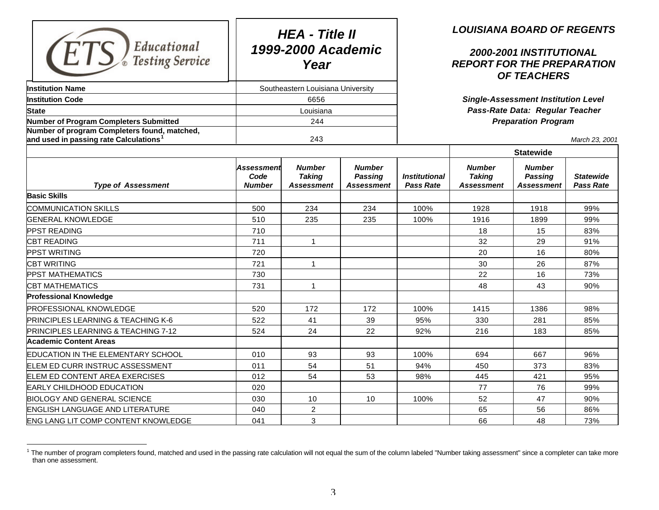| Educational<br><b>Testing Service</b>                                                              |                                     | <b>HEA - Title II</b><br>1999-2000 Academic<br>Year |                                                      | <b>LOUISIANA BOARD OF REGENTS</b><br>2000-2001 INSTITUTIONAL<br><b>REPORT FOR THE PREPARATION</b><br><b>OF TEACHERS</b> |                                              |                                        |                                      |  |
|----------------------------------------------------------------------------------------------------|-------------------------------------|-----------------------------------------------------|------------------------------------------------------|-------------------------------------------------------------------------------------------------------------------------|----------------------------------------------|----------------------------------------|--------------------------------------|--|
| <b>Institution Name</b>                                                                            |                                     | Southeastern Louisiana University                   |                                                      |                                                                                                                         |                                              |                                        |                                      |  |
| <b>Institution Code</b>                                                                            |                                     | 6656                                                |                                                      | <b>Single-Assessment Institution Level</b>                                                                              |                                              |                                        |                                      |  |
| <b>State</b>                                                                                       | Louisiana                           |                                                     |                                                      | Pass-Rate Data: Regular Teacher                                                                                         |                                              |                                        |                                      |  |
| <b>Number of Program Completers Submitted</b>                                                      |                                     | 244                                                 |                                                      | <b>Preparation Program</b>                                                                                              |                                              |                                        |                                      |  |
| Number of program Completers found, matched,<br>and used in passing rate Calculations $^{\dagger}$ |                                     | 243                                                 |                                                      |                                                                                                                         |                                              |                                        | March 23, 2001                       |  |
|                                                                                                    |                                     |                                                     |                                                      |                                                                                                                         |                                              | <b>Statewide</b>                       |                                      |  |
| <b>Type of Assessment</b>                                                                          | Assessment<br>Code<br><b>Number</b> | <b>Number</b><br><b>Taking</b><br><b>Assessment</b> | <b>Number</b><br><b>Passing</b><br><b>Assessment</b> | <b>Institutional</b><br><b>Pass Rate</b>                                                                                | <b>Number</b><br><b>Taking</b><br>Assessment | <b>Number</b><br>Passing<br>Assessment | <b>Statewide</b><br><b>Pass Rate</b> |  |
| <b>Basic Skills</b>                                                                                |                                     |                                                     |                                                      |                                                                                                                         |                                              |                                        |                                      |  |
| COMMUNICATION SKILLS                                                                               | 500                                 | 234                                                 | 234                                                  | 100%                                                                                                                    | 1928                                         | 1918                                   | 99%                                  |  |
| <b>GENERAL KNOWLEDGE</b>                                                                           | 510                                 | 235                                                 | 235                                                  | 100%                                                                                                                    | 1916                                         | 1899                                   | 99%                                  |  |
| <b>PPST READING</b>                                                                                | 710                                 |                                                     |                                                      |                                                                                                                         | 18                                           | 15                                     | 83%                                  |  |
| <b>CBT READING</b>                                                                                 | 711                                 | $\mathbf{1}$                                        |                                                      |                                                                                                                         | 32                                           | 29                                     | 91%                                  |  |
| <b>PPST WRITING</b>                                                                                | 720                                 |                                                     |                                                      |                                                                                                                         | 20                                           | 16                                     | 80%                                  |  |
| <b>CBT WRITING</b>                                                                                 | 721                                 | $\mathbf{1}$                                        |                                                      |                                                                                                                         | 30                                           | 26                                     | 87%                                  |  |
| <b>PPST MATHEMATICS</b>                                                                            | 730                                 |                                                     |                                                      |                                                                                                                         | 22                                           | 16                                     | 73%                                  |  |
| <b>CBT MATHEMATICS</b>                                                                             | 731                                 | $\mathbf{1}$                                        |                                                      |                                                                                                                         | 48                                           | 43                                     | 90%                                  |  |
| <b>Professional Knowledge</b>                                                                      |                                     |                                                     |                                                      |                                                                                                                         |                                              |                                        |                                      |  |
| <b>PROFESSIONAL KNOWLEDGE</b>                                                                      | 520                                 | 172                                                 | 172                                                  | 100%                                                                                                                    | 1415                                         | 1386                                   | 98%                                  |  |
| PRINCIPLES LEARNING & TEACHING K-6                                                                 | 522                                 | 41                                                  | 39                                                   | 95%                                                                                                                     | 330                                          | 281                                    | 85%                                  |  |
| PRINCIPLES LEARNING & TEACHING 7-12                                                                | 524                                 | 24                                                  | 22                                                   | 92%                                                                                                                     | 216                                          | 183                                    | 85%                                  |  |
| <b>Academic Content Areas</b>                                                                      |                                     |                                                     |                                                      |                                                                                                                         |                                              |                                        |                                      |  |
| EDUCATION IN THE ELEMENTARY SCHOOL                                                                 | 010                                 | 93                                                  | 93                                                   | 100%                                                                                                                    | 694                                          | 667                                    | 96%                                  |  |
| ELEM ED CURR INSTRUC ASSESSMENT                                                                    | 011                                 | 54                                                  | 51                                                   | 94%                                                                                                                     | 450                                          | 373                                    | 83%                                  |  |
| ELEM ED CONTENT AREA EXERCISES                                                                     | 012                                 | 54                                                  | 53                                                   | 98%                                                                                                                     | 445                                          | 421                                    | 95%                                  |  |
| <b>EARLY CHILDHOOD EDUCATION</b>                                                                   | 020                                 |                                                     |                                                      |                                                                                                                         | 77                                           | 76                                     | 99%                                  |  |
| <b>BIOLOGY AND GENERAL SCIENCE</b>                                                                 | 030                                 | 10                                                  | 10                                                   | 100%                                                                                                                    | 52                                           | 47                                     | 90%                                  |  |
| <b>ENGLISH LANGUAGE AND LITERATURE</b>                                                             | 040                                 | $\overline{c}$                                      |                                                      |                                                                                                                         | 65                                           | 56                                     | 86%                                  |  |
| <b>ENG LANG LIT COMP CONTENT KNOWLEDGE</b>                                                         | 041                                 | 3                                                   |                                                      |                                                                                                                         | 66                                           | 48                                     | 73%                                  |  |

The number of program completers found, matched and used in the passing rate calculation will not equal the sum of the column labeled "Number taking assessment" since a completer can take more than one assessment.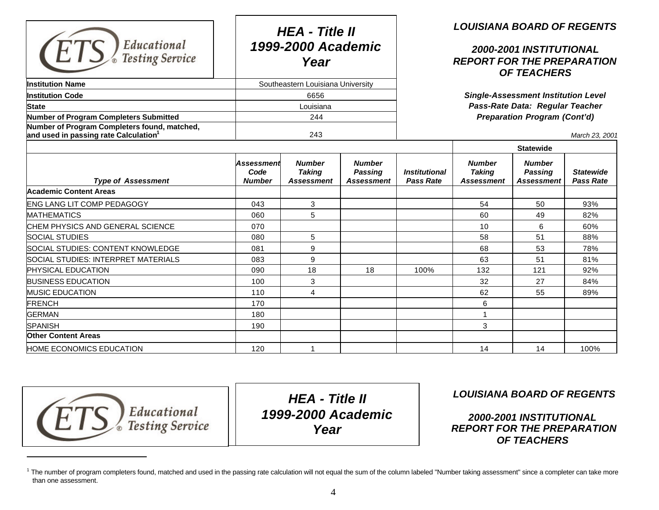| Educational<br><b>Testing Service</b>                                                             |                                     | <b>HEA - Title II</b><br>1999-2000 Academic<br>Year |                                               |                                                                                                                      | <b>LOUISIANA BOARD OF REGENTS</b><br>2000-2001 INSTITUTIONAL<br><b>REPORT FOR THE PREPARATION</b><br><b>OF TEACHERS</b> |                                               |                                      |  |  |
|---------------------------------------------------------------------------------------------------|-------------------------------------|-----------------------------------------------------|-----------------------------------------------|----------------------------------------------------------------------------------------------------------------------|-------------------------------------------------------------------------------------------------------------------------|-----------------------------------------------|--------------------------------------|--|--|
| <b>Institution Name</b>                                                                           |                                     | Southeastern Louisiana University                   |                                               |                                                                                                                      |                                                                                                                         |                                               |                                      |  |  |
| <b>Institution Code</b>                                                                           |                                     | 6656                                                |                                               | <b>Single-Assessment Institution Level</b><br>Pass-Rate Data: Regular Teacher<br><b>Preparation Program (Cont'd)</b> |                                                                                                                         |                                               |                                      |  |  |
| <b>State</b>                                                                                      |                                     | Louisiana                                           |                                               |                                                                                                                      |                                                                                                                         |                                               |                                      |  |  |
| Number of Program Completers Submitted                                                            |                                     | 244                                                 |                                               |                                                                                                                      |                                                                                                                         |                                               |                                      |  |  |
| Number of Program Completers found, matched,<br>and used in passing rate Calculation <sup>1</sup> |                                     | 243                                                 |                                               |                                                                                                                      | March 23, 2001                                                                                                          |                                               |                                      |  |  |
|                                                                                                   |                                     |                                                     |                                               |                                                                                                                      |                                                                                                                         | <b>Statewide</b>                              |                                      |  |  |
| <b>Type of Assessment</b>                                                                         | Assessment<br>Code<br><b>Number</b> | <b>Number</b><br><b>Taking</b><br>Assessment        | <b>Number</b><br><b>Passing</b><br>Assessment | <b>Institutional</b><br><b>Pass Rate</b>                                                                             | <b>Number</b><br><b>Taking</b><br>Assessment                                                                            | <b>Number</b><br><b>Passing</b><br>Assessment | <b>Statewide</b><br><b>Pass Rate</b> |  |  |
| <b>Academic Content Areas</b>                                                                     |                                     |                                                     |                                               |                                                                                                                      |                                                                                                                         |                                               |                                      |  |  |
| <b>ENG LANG LIT COMP PEDAGOGY</b>                                                                 | 043                                 | 3                                                   |                                               |                                                                                                                      | 54                                                                                                                      | 50                                            | 93%                                  |  |  |
| <b>MATHEMATICS</b>                                                                                | 060                                 | 5                                                   |                                               |                                                                                                                      | 60                                                                                                                      | 49                                            | 82%                                  |  |  |
| CHEM PHYSICS AND GENERAL SCIENCE                                                                  | 070                                 |                                                     |                                               |                                                                                                                      | 10                                                                                                                      | 6                                             | 60%                                  |  |  |
| <b>SOCIAL STUDIES</b>                                                                             | 080                                 | 5                                                   |                                               |                                                                                                                      | 58                                                                                                                      | 51                                            | 88%                                  |  |  |
| SOCIAL STUDIES: CONTENT KNOWLEDGE                                                                 | 081                                 | 9                                                   |                                               |                                                                                                                      | 68                                                                                                                      | 53                                            | 78%                                  |  |  |
| SOCIAL STUDIES: INTERPRET MATERIALS                                                               | 083                                 | 9                                                   |                                               |                                                                                                                      | 63                                                                                                                      | 51                                            | 81%                                  |  |  |
| <b>PHYSICAL EDUCATION</b>                                                                         | 090                                 | 18                                                  | 18                                            | 100%                                                                                                                 | 132                                                                                                                     | 121                                           | 92%                                  |  |  |
| <b>BUSINESS EDUCATION</b>                                                                         | 100                                 | 3                                                   |                                               |                                                                                                                      | 32                                                                                                                      | 27                                            | 84%                                  |  |  |
| <b>MUSIC EDUCATION</b>                                                                            | 110                                 | 4                                                   |                                               |                                                                                                                      | 62                                                                                                                      | 55                                            | 89%                                  |  |  |
| <b>FRENCH</b>                                                                                     | 170                                 |                                                     |                                               |                                                                                                                      | 6                                                                                                                       |                                               |                                      |  |  |
| <b>GERMAN</b>                                                                                     | 180                                 |                                                     |                                               |                                                                                                                      |                                                                                                                         |                                               |                                      |  |  |
| <b>SPANISH</b>                                                                                    | 190                                 |                                                     |                                               |                                                                                                                      | 3                                                                                                                       |                                               |                                      |  |  |
| <b>Other Content Areas</b>                                                                        |                                     |                                                     |                                               |                                                                                                                      |                                                                                                                         |                                               |                                      |  |  |
| <b>HOME ECONOMICS EDUCATION</b>                                                                   | 120                                 | 1                                                   |                                               |                                                                                                                      | 14                                                                                                                      | 14                                            | 100%                                 |  |  |

**Educational**<br>Testing Service

 $\overline{a}$ 

*HEA - Title II 1999-2000 Academic Year*

 *LOUISIANA BOARD OF REGENTS*

 *2000-2001 INSTITUTIONAL REPORT FOR THE PREPARATION OF TEACHERS*

<sup>&</sup>lt;sup>1</sup> The number of program completers found, matched and used in the passing rate calculation will not equal the sum of the column labeled "Number taking assessment" since a completer can take more than one assessment.